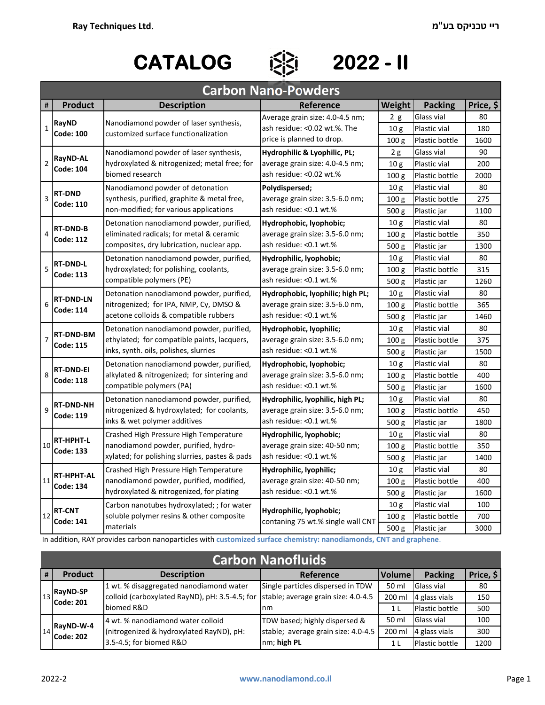## **CATALOG 2022 - II**

**# Reference Weight Packing Price, \$** 2 g Glass vial | 80 10 g Plastic vial 180 100 g Plastic bottle 1600 2 g Glass vial 90 10 g Plastic vial 200 100 g Plastic bottle 2000 10 g Plastic vial | 80 100 g Plastic bottle 275 500 g Plastic jar 1100 10 g Plastic vial | 80 100 g Plastic bottle 350 500 g Plastic jar 1300 10 g Plastic vial | 80 100 g Plastic bottle 315 500 g Plastic jar 1260 10 g Plastic vial 80 100 g Plastic bottle 365 500 g Plastic jar 1460 10 g Plastic vial | 80 100 g Plastic bottle | 375 500 g Plastic jar 1500 10 g Plastic vial | 80 100 g Plastic bottle 400 500 g Plastic jar 1600 10 g Plastic vial | 80 100 g Plastic bottle 450 500 g Plastic jar 1800 10 g Plastic vial | 80 100 g Plastic bottle 350 500 g Plastic jar | 1400 10 g Plastic vial | 80 100 g Plastic bottle 400 500 g Plastic jar 1600 10 g Plastic vial 100 100 g Plastic bottle 700 500 g Plastic jar 3000 11 **RT‐HPHT‐AL Code: 134** Crashed High Pressure High Temperature nanodiamond powder, purified, modified, hydroxylated & nitrogenized, for plating **Hydrophilic, lyophilic;**  average grain size: 40‐50 nm; ash residue: <0.1 wt.%  $10$ **RT‐HPHT‐L Code: 133** Crashed High Pressure High Temperature nanodiamond powder, purified, hydro‐ xylated; for polishing slurries, pastes & pads **Hydrophilic, lyophobic;**  average grain size: 40‐50 nm; ash residue: <0.1 wt.% Carbon nanotubes hydroxylated; ; for water soluble polymer resins & other composite materials **Hydrophilic, lyophobic;**  contaning 75 wt.% single wall CNT 8 **RT‐DND‐EI Code: 118** Detonation nanodiamond powder, purified, alkylated & nitrogenized; for sintering and compatible polymers (PA) **Hydrophobic, lyophobic;**  average grain size: 3.5‐6.0 nm; ash residue: <0.1 wt.% 9 **RT‐DND‐NH Code: 119** 12 **RT‐CNT Code: 141** 4 **RT‐DND‐B Code: 112** Detonation nanodiamond powder, purified, eliminated radicals; for metal & ceramic composites, dry lubrication, nuclear app. **Hydrophobic, lyophobic;**  average grain size: 3.5‐6.0 nm; ash residue: <0.1 wt.% 5 **RT‐DND‐L Code: 113** Detonation nanodiamond powder, purified, hydroxylated; for polishing, coolants, compatible polymers (PE) **Hydrophilic, lyophobic;**  average grain size: 3.5‐6.0 nm; ash residue: <0.1 wt.% Detonation nanodiamond powder, purified, ethylated; for compatible paints, lacquers, inks, synth. oils, polishes, slurries **Hydrophobic, lyophilic;**  average grain size: 3.5‐6.0 nm; ash residue: <0.1 wt.% 6 **RT‐DND‐LN Code: 114** Detonation nanodiamond powder, purified, nitrogenized; for IPA, NMP, Cy, DMSO & acetone colloids & compatible rubbers **Hydrophobic, lyophilic; high PL;**  average grain size: 3.5‐6.0 nm, ash residue: <0.1 wt.% 3 **RT‐DND Code: 110** Nanodiamond powder of detonation synthesis, purified, graphite & metal free, non‐modified; for various applications **Polydispersed;** average grain size: 3.5‐6.0 nm; ash residue: <0.1 wt.% <sup>2</sup> **RayND‐AL Code: 104** Nanodiamond powder of laser synthesis, hydroxylated & nitrogenized; metal free; for biomed research **Hydrophilic & Lyophilic, PL;** average grain size: 4.0‐4.5 nm; ash residue: <0.02 wt.% **Carbon Nano‐Powders Product Description** <sup>1</sup> **RayND Code: 100** Nanodiamond powder of laser synthesis, customized surface functionalization Average grain size: 4.0‐4.5 nm; ash residue: <0.02 wt.%. The price is planned to drop. 7 **RT‐DND‐BM Code: 115** Detonation nanodiamond powder, purified, nitrogenized & hydroxylated; for coolants, inks & wet polymer additives **Hydrophilic, lyophilic, high PL;** average grain size: 3.5‐6.0 nm; ash residue: <0.1 wt.%

In addition, RAY provides carbon nanoparticles with **customized surface chemistry: nanodiamonds, CNT and graphene**.

| <b>Carbon Nanofluids</b> |                                                                |                                                |                                     |                |                       |           |  |  |
|--------------------------|----------------------------------------------------------------|------------------------------------------------|-------------------------------------|----------------|-----------------------|-----------|--|--|
| #                        | <b>Product</b>                                                 | <b>Description</b>                             | Reference                           | Volume         | <b>Packing</b>        | Price, \$ |  |  |
|                          |                                                                | 1 wt. % disaggregated nanodiamond water        | Single particles dispersed in TDW   | 50 ml          | Glass vial            | 80        |  |  |
|                          | $\begin{bmatrix} 13 \\ 14 \end{bmatrix}$ RayND-SP<br>Code: 201 | colloid (carboxylated RayND), pH: 3.5-4.5; for | stable; average grain size: 4.0-4.5 | 200 ml         | 4 glass vials         | 150       |  |  |
|                          |                                                                | biomed R&D                                     | Inm                                 | 1 <sub>L</sub> | Plastic bottle        | 500       |  |  |
|                          |                                                                | 4 wt. % nanodiamond water colloid              | TDW based; highly dispersed &       | 50 ml          | Glass vial            | 100       |  |  |
|                          | $14$ RayND-W-4<br>Code: 202                                    | (nitrogenized & hydroxylated RayND), pH:       | stable; average grain size: 4.0-4.5 | 200 ml         | 4 glass vials         | 300       |  |  |
|                          |                                                                | 3.5-4.5; for biomed R&D                        | nm; high PL                         | 1 L            | <b>Plastic bottle</b> | 1200      |  |  |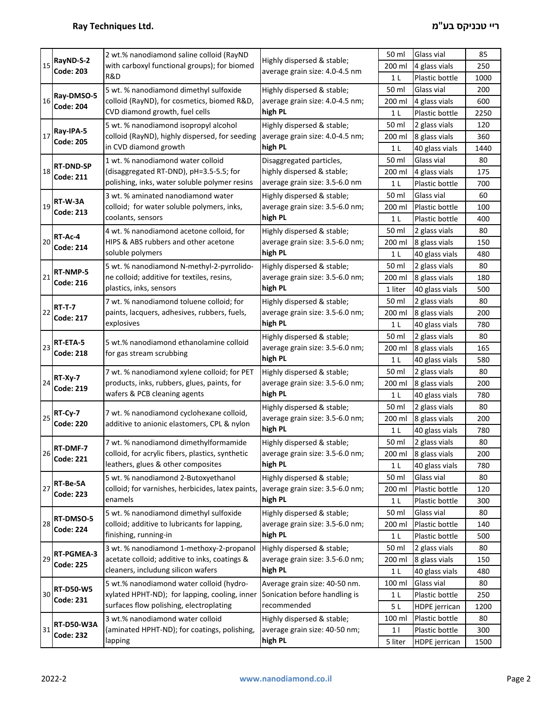|    |                                                                                                                                                  | 2 wt.% nanodiamond saline colloid (RayND                                                                                                                                                                                               |                                                                          | 50 ml          | Glass vial           | 85   |
|----|--------------------------------------------------------------------------------------------------------------------------------------------------|----------------------------------------------------------------------------------------------------------------------------------------------------------------------------------------------------------------------------------------|--------------------------------------------------------------------------|----------------|----------------------|------|
| 15 | RayND-S-2<br><b>Code: 203</b>                                                                                                                    | with carboxyl functional groups); for biomed<br>R&D                                                                                                                                                                                    | Highly dispersed & stable;<br>average grain size: 4.0-4.5 nm             | 200 ml         |                      | 250  |
|    |                                                                                                                                                  |                                                                                                                                                                                                                                        |                                                                          |                | 4 glass vials        |      |
|    |                                                                                                                                                  |                                                                                                                                                                                                                                        |                                                                          | 1 L            | Plastic bottle       | 1000 |
| 16 | Ray-DMSO-5<br><b>Code: 204</b>                                                                                                                   | 5 wt. % nanodiamond dimethyl sulfoxide                                                                                                                                                                                                 | Highly dispersed & stable;                                               | 50 ml          | Glass vial           | 200  |
|    |                                                                                                                                                  | colloid (RayND), for cosmetics, biomed R&D,                                                                                                                                                                                            | average grain size: 4.0-4.5 nm;                                          | 200 ml         | 4 glass vials        | 600  |
|    |                                                                                                                                                  | CVD diamond growth, fuel cells                                                                                                                                                                                                         | high PL                                                                  | 1 <sub>L</sub> | Plastic bottle       | 2250 |
|    | Ray-IPA-5<br><b>Code: 205</b>                                                                                                                    | 5 wt. % nanodiamond isopropyl alcohol                                                                                                                                                                                                  | Highly dispersed & stable;                                               | 50 ml          | 2 glass vials        | 120  |
| 17 |                                                                                                                                                  | colloid (RayND), highly dispersed, for seeding                                                                                                                                                                                         | average grain size: 4.0-4.5 nm;                                          | 200 ml         | 8 glass vials        | 360  |
|    |                                                                                                                                                  | in CVD diamond growth                                                                                                                                                                                                                  | high PL                                                                  | 1 <sub>L</sub> | 40 glass vials       | 1440 |
|    | <b>RT-DND-SP</b>                                                                                                                                 | 1 wt. % nanodiamond water colloid                                                                                                                                                                                                      | Disaggregated particles,                                                 | 50 ml          | Glass vial           | 80   |
| 18 | <b>Code: 211</b>                                                                                                                                 | (disaggregated RT-DND), pH=3.5-5.5; for                                                                                                                                                                                                | highly dispersed & stable;                                               | 200 ml         | 4 glass vials        | 175  |
|    |                                                                                                                                                  | polishing, inks, water soluble polymer resins                                                                                                                                                                                          | average grain size: 3.5-6.0 nm                                           | 1 <sub>L</sub> | Plastic bottle       | 700  |
|    |                                                                                                                                                  | 3 wt. % aminated nanodiamond water                                                                                                                                                                                                     | Highly dispersed & stable;                                               | 50 ml          | Glass vial           | 60   |
| 19 | RT-W-3A                                                                                                                                          | colloid; for water soluble polymers, inks,                                                                                                                                                                                             | average grain size: 3.5-6.0 nm;                                          | 200 ml         | Plastic bottle       | 100  |
|    | <b>Code: 213</b>                                                                                                                                 | coolants, sensors                                                                                                                                                                                                                      | high PL                                                                  | 1 <sub>L</sub> | Plastic bottle       | 400  |
|    |                                                                                                                                                  | 4 wt. % nanodiamond acetone colloid, for                                                                                                                                                                                               | Highly dispersed & stable;                                               | 50 ml          | 2 glass vials        | 80   |
| 20 | RT-Ac-4                                                                                                                                          | HIPS & ABS rubbers and other acetone                                                                                                                                                                                                   | average grain size: 3.5-6.0 nm;                                          | 200 ml         | 8 glass vials        | 150  |
|    | <b>Code: 214</b>                                                                                                                                 | soluble polymers                                                                                                                                                                                                                       | high PL                                                                  | 1 L            | 40 glass vials       | 480  |
|    |                                                                                                                                                  | 5 wt. % nanodiamond N-methyl-2-pyrrolido-                                                                                                                                                                                              | Highly dispersed & stable;                                               | 50 ml          | 2 glass vials        | 80   |
| 21 | RT-NMP-5                                                                                                                                         | ne colloid; additive for textiles, resins,                                                                                                                                                                                             | average grain size: 3.5-6.0 nm;                                          | 200 ml         | 8 glass vials        | 180  |
|    | <b>Code: 216</b>                                                                                                                                 | plastics, inks, sensors                                                                                                                                                                                                                | high PL                                                                  | 1 liter        | 40 glass vials       | 500  |
|    |                                                                                                                                                  | 7 wt. % nanodiamond toluene colloid; for<br>paints, lacquers, adhesives, rubbers, fuels,<br>explosives                                                                                                                                 | Highly dispersed & stable;                                               | 50 ml          | 2 glass vials        | 80   |
| 22 | <b>RT-T-7</b>                                                                                                                                    |                                                                                                                                                                                                                                        | average grain size: 3.5-6.0 nm;                                          | 200 ml         | 8 glass vials        | 200  |
|    | <b>Code: 217</b>                                                                                                                                 |                                                                                                                                                                                                                                        | high PL                                                                  | 1 <sub>L</sub> | 40 glass vials       | 780  |
|    | RT-ETA-5<br><b>Code: 218</b>                                                                                                                     | Highly dispersed & stable;<br>5 wt.% nanodiamond ethanolamine colloid<br>average grain size: 3.5-6.0 nm;<br>for gas stream scrubbing<br>high PL                                                                                        |                                                                          | 50 ml          | 2 glass vials        | 80   |
| 23 |                                                                                                                                                  |                                                                                                                                                                                                                                        |                                                                          | 200 ml         | 8 glass vials        | 165  |
|    |                                                                                                                                                  |                                                                                                                                                                                                                                        |                                                                          | 1 <sub>L</sub> | 40 glass vials       | 580  |
|    | RT-Xy-7                                                                                                                                          | 7 wt. % nanodiamond xylene colloid; for PET<br>products, inks, rubbers, glues, paints, for                                                                                                                                             | Highly dispersed & stable;                                               | 50 ml          | 2 glass vials        | 80   |
| 24 |                                                                                                                                                  |                                                                                                                                                                                                                                        | average grain size: 3.5-6.0 nm;                                          | 200 ml         | 8 glass vials        | 200  |
|    | <b>Code: 219</b>                                                                                                                                 | wafers & PCB cleaning agents                                                                                                                                                                                                           | high PL                                                                  | 1 <sub>L</sub> | 40 glass vials       | 780  |
|    | RT-Cy-7<br><b>Code: 220</b>                                                                                                                      | 7 wt. % nanodiamond cyclohexane colloid,<br>additive to anionic elastomers, CPL & nylon                                                                                                                                                | Highly dispersed & stable;<br>average grain size: 3.5-6.0 nm;<br>high PL | 50 ml          | 2 glass vials        | 80   |
| 25 |                                                                                                                                                  |                                                                                                                                                                                                                                        |                                                                          | 200 ml         | 8 glass vials        | 200  |
|    |                                                                                                                                                  |                                                                                                                                                                                                                                        |                                                                          | 1 <sub>L</sub> | 40 glass vials       | 780  |
|    |                                                                                                                                                  | 7 wt. % nanodiamond dimethylformamide<br>colloid, for acrylic fibers, plastics, synthetic<br>leathers, glues & other composites<br>5 wt. % nanodiamond 2-Butoxyethanol<br>colloid; for varnishes, herbicides, latex paints,<br>enamels | Highly dispersed & stable;                                               | 50 ml          | 2 glass vials        | 80   |
| 26 | RT-DMF-7<br><b>Code: 221</b><br>RT-Be-5A<br><b>Code: 223</b>                                                                                     |                                                                                                                                                                                                                                        | average grain size: 3.5-6.0 nm;                                          | 200 ml         | 8 glass vials        | 200  |
|    |                                                                                                                                                  |                                                                                                                                                                                                                                        | high PL                                                                  | 1 <sub>L</sub> | 40 glass vials       | 780  |
|    |                                                                                                                                                  |                                                                                                                                                                                                                                        | Highly dispersed & stable;                                               | 50 ml          | Glass vial           | 80   |
| 27 |                                                                                                                                                  |                                                                                                                                                                                                                                        | average grain size: 3.5-6.0 nm;                                          | 200 ml         | Plastic bottle       | 120  |
|    |                                                                                                                                                  |                                                                                                                                                                                                                                        | high PL                                                                  | 1 <sub>L</sub> | Plastic bottle       | 300  |
|    | 5 wt. % nanodiamond dimethyl sulfoxide<br>RT-DMSO-5<br>colloid; additive to lubricants for lapping,<br><b>Code: 224</b><br>finishing, running-in |                                                                                                                                                                                                                                        | Highly dispersed & stable;                                               | 50 ml          | Glass vial           | 80   |
| 28 |                                                                                                                                                  | average grain size: 3.5-6.0 nm;<br>high PL                                                                                                                                                                                             | 200 ml                                                                   | Plastic bottle | 140                  |      |
|    |                                                                                                                                                  |                                                                                                                                                                                                                                        | 1 <sub>L</sub>                                                           | Plastic bottle | 500                  |      |
|    |                                                                                                                                                  | 3 wt. % nanodiamond 1-methoxy-2-propanol                                                                                                                                                                                               | Highly dispersed & stable;                                               | 50 ml          | 2 glass vials        | 80   |
| 29 | RT-PGMEA-3<br><b>Code: 225</b>                                                                                                                   | acetate colloid; additive to inks, coatings &<br>cleaners, includung silicon wafers                                                                                                                                                    | average grain size: 3.5-6.0 nm;                                          | 200 ml         | 8 glass vials        | 150  |
|    |                                                                                                                                                  |                                                                                                                                                                                                                                        | high PL                                                                  | 1 <sub>L</sub> | 40 glass vials       | 480  |
|    |                                                                                                                                                  | 5 wt.% nanodiamond water colloid (hydro-                                                                                                                                                                                               | Average grain size: 40-50 nm.                                            | 100 ml         | Glass vial           | 80   |
| 30 | <b>RT-D50-W5</b>                                                                                                                                 | xylated HPHT-ND); for lapping, cooling, inner                                                                                                                                                                                          | Sonication before handling is                                            | 1 <sub>L</sub> | Plastic bottle       | 250  |
|    | <b>Code: 231</b>                                                                                                                                 | surfaces flow polishing, electroplating                                                                                                                                                                                                | recommended                                                              | 5L             | <b>HDPE</b> jerrican | 1200 |
|    |                                                                                                                                                  | 3 wt.% nanodiamond water colloid                                                                                                                                                                                                       | Highly dispersed & stable;                                               | 100 ml         | Plastic bottle       | 80   |
| 31 | <b>RT-D50-W3A</b>                                                                                                                                | (aminated HPHT-ND); for coatings, polishing,                                                                                                                                                                                           | average grain size: 40-50 nm;                                            | 1              | Plastic bottle       | 300  |
|    | <b>Code: 232</b>                                                                                                                                 | lapping                                                                                                                                                                                                                                | high PL                                                                  | 5 liter        | <b>HDPE</b> jerrican | 1500 |
|    |                                                                                                                                                  |                                                                                                                                                                                                                                        |                                                                          |                |                      |      |